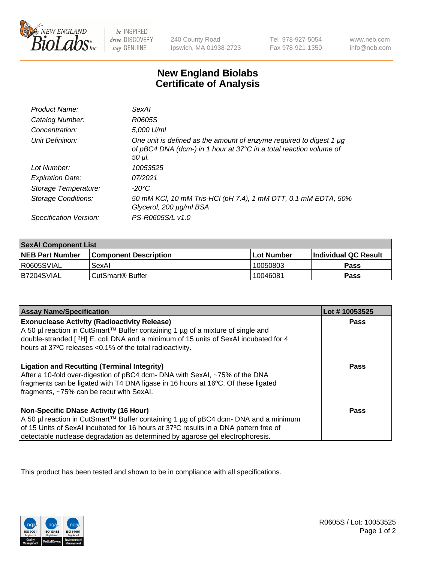

 $be$  INSPIRED drive DISCOVERY stay GENUINE

240 County Road Ipswich, MA 01938-2723 Tel 978-927-5054 Fax 978-921-1350 www.neb.com info@neb.com

## **New England Biolabs Certificate of Analysis**

| Product Name:           | SexAI                                                                                                                                               |
|-------------------------|-----------------------------------------------------------------------------------------------------------------------------------------------------|
| Catalog Number:         | R0605S                                                                                                                                              |
| Concentration:          | 5,000 U/ml                                                                                                                                          |
| Unit Definition:        | One unit is defined as the amount of enzyme required to digest 1 µg<br>of pBC4 DNA (dcm-) in 1 hour at 37°C in a total reaction volume of<br>50 µl. |
| Lot Number:             | 10053525                                                                                                                                            |
| <b>Expiration Date:</b> | 07/2021                                                                                                                                             |
| Storage Temperature:    | -20°C                                                                                                                                               |
| Storage Conditions:     | 50 mM KCl, 10 mM Tris-HCl (pH 7.4), 1 mM DTT, 0.1 mM EDTA, 50%<br>Glycerol, 200 µg/ml BSA                                                           |
| Specification Version:  | PS-R0605S/L v1.0                                                                                                                                    |

| <b>SexAl Component List</b> |                              |              |                             |  |
|-----------------------------|------------------------------|--------------|-----------------------------|--|
| <b>NEB Part Number</b>      | <b>Component Description</b> | l Lot Number | <b>Individual QC Result</b> |  |
| I R0605SVIAL                | SexAl                        | 10050803     | <b>Pass</b>                 |  |
| IB7204SVIAL                 | CutSmart® Buffer             | 10046081     | <b>Pass</b>                 |  |

| <b>Assay Name/Specification</b>                                                                                                                                                                                                                                                                         | Lot #10053525 |
|---------------------------------------------------------------------------------------------------------------------------------------------------------------------------------------------------------------------------------------------------------------------------------------------------------|---------------|
| <b>Exonuclease Activity (Radioactivity Release)</b><br>A 50 µl reaction in CutSmart™ Buffer containing 1 µg of a mixture of single and<br>double-stranded [3H] E. coli DNA and a minimum of 15 units of SexAI incubated for 4<br>hours at 37°C releases <0.1% of the total radioactivity.               | <b>Pass</b>   |
| <b>Ligation and Recutting (Terminal Integrity)</b><br>After a 10-fold over-digestion of pBC4 dcm- DNA with SexAI, ~75% of the DNA<br>fragments can be ligated with T4 DNA ligase in 16 hours at 16°C. Of these ligated<br>fragments, ~75% can be recut with SexAI.                                      | Pass          |
| Non-Specific DNase Activity (16 Hour)<br>  A 50 µl reaction in CutSmart™ Buffer containing 1 µg of pBC4 dcm- DNA and a minimum<br>of 15 Units of SexAI incubated for 16 hours at 37°C results in a DNA pattern free of<br>detectable nuclease degradation as determined by agarose gel electrophoresis. | Pass          |

This product has been tested and shown to be in compliance with all specifications.